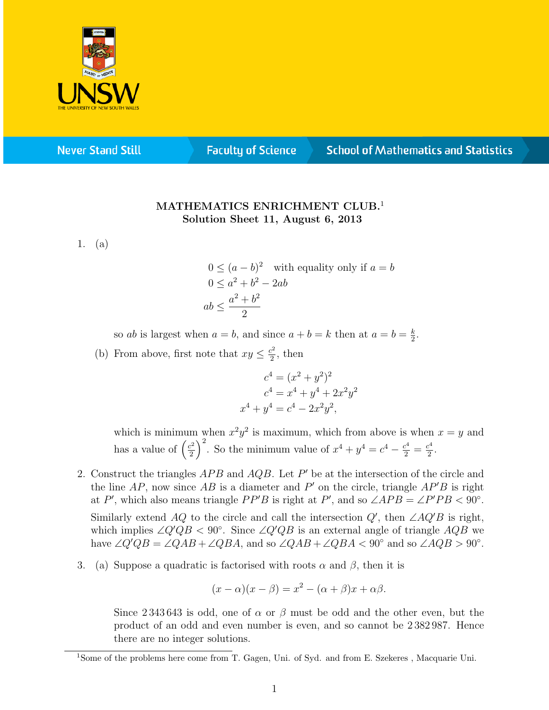

**Never Stand Still** 

**Faculty of Science** 

## **School of Mathematics and Statistics**

## MATHEMATICS ENRICHMENT CLUB.<sup>1</sup> Solution Sheet 11, August 6, 2013

1. (a)

$$
0 \le (a - b)^2
$$
 with equality only if  $a = b$   
 
$$
0 \le a^2 + b^2 - 2ab
$$
  
 
$$
ab \le \frac{a^2 + b^2}{2}
$$

so *ab* is largest when  $a = b$ , and since  $a + b = k$  then at  $a = b = \frac{k}{2}$  $\frac{k}{2}$ .

(b) From above, first note that  $xy \leq \frac{c^2}{2}$  $\frac{2^2}{2}$ , then

$$
c4 = (x2 + y2)2
$$
  
\n
$$
c4 = x4 + y4 + 2x2y2
$$
  
\n<sup>4</sup> + y<sup>4</sup> = c<sup>4</sup> - 2x<sup>2</sup>y<sup>2</sup>,

which is minimum when  $x^2y^2$  is maximum, which from above is when  $x = y$  and has a value of  $\left(\frac{c^2}{2}\right)$  $\left(\frac{c^2}{2}\right)^2$ . So the minimum value of  $x^4 + y^4 = c^4 - \frac{c^4}{2} = \frac{c^4}{2}$  $\frac{2}{2}$ .

- 2. Construct the triangles  $APB$  and  $AQB$ . Let  $P'$  be at the intersection of the circle and the line  $AP$ , now since  $AB$  is a diameter and  $P'$  on the circle, triangle  $AP'B$  is right at P', which also means triangle PP'B is right at P', and so  $\angle APB = \angle P'PB < 90^\circ$ . Similarly extend AQ to the circle and call the intersection  $Q'$ , then  $\angle AQ'B$  is right, which implies  $\angle Q'QB < 90^\circ$ . Since  $\angle Q'QB$  is an external angle of triangle  $AQB$  we have  $\angle Q'QB = \angle QAB + \angle QBA$ , and so  $\angle QAB + \angle QBA < 90^{\circ}$  and so  $\angle AQB > 90^{\circ}$ .
- 3. (a) Suppose a quadratic is factorised with roots  $\alpha$  and  $\beta$ , then it is

x

$$
(x - \alpha)(x - \beta) = x^2 - (\alpha + \beta)x + \alpha\beta.
$$

Since 2 343 643 is odd, one of  $\alpha$  or  $\beta$  must be odd and the other even, but the product of an odd and even number is even, and so cannot be 2 382 987. Hence there are no integer solutions.

<sup>&</sup>lt;sup>1</sup>Some of the problems here come from T. Gagen, Uni. of Syd. and from E. Szekeres, Macquarie Uni.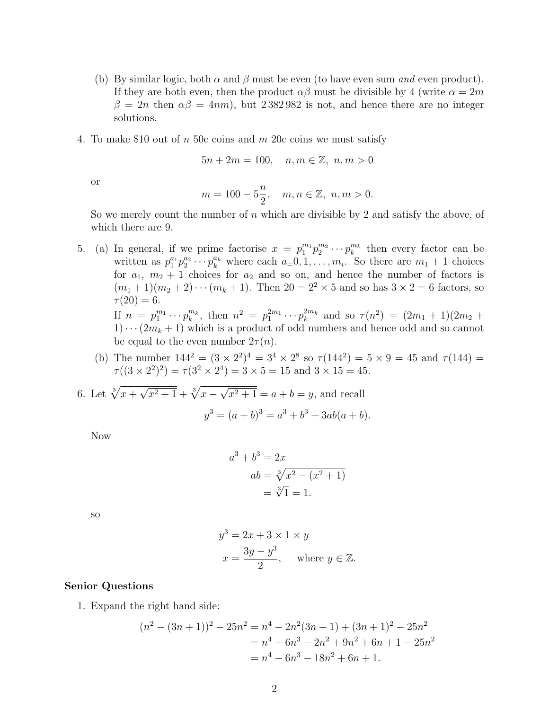- (b) By similar logic, both  $\alpha$  and  $\beta$  must be even (to have even sum and even product). If they are both even, then the product  $\alpha\beta$  must be divisible by 4 (write  $\alpha = 2m$  $\beta = 2n$  then  $\alpha\beta = 4nm$ , but 2382982 is not, and hence there are no integer solutions.
- 4. To make \$10 out of n 50c coins and m 20c coins we must satisfy

$$
5n + 2m = 100
$$
,  $n, m \in \mathbb{Z}$ ,  $n, m > 0$ 

or

$$
m = 100 - 5\frac{n}{2}
$$
,  $m, n \in \mathbb{Z}$ ,  $n, m > 0$ .

So we merely count the number of  $n$  which are divisible by 2 and satisfy the above, of which there are 9.

- 5. (a) In general, if we prime factorise  $x = p_1^{m_1} p_2^{m_2} \cdots p_k^{m_k}$  then every factor can be written as  $p_1^{a_1} p_2^{a_2} \cdots p_k^{a_k}$  where each  $a=0,1,\ldots,m_i$ . So there are  $m_1+1$  choices for  $a_1, m_2 + 1$  choices for  $a_2$  and so on, and hence the number of factors is  $(m_1 + 1)(m_2 + 2) \cdots (m_k + 1)$ . Then  $20 = 2^2 \times 5$  and so has  $3 \times 2 = 6$  factors, so  $\tau(20) = 6.$ If  $n = p_1^{m_1} \cdots p_k^{m_k}$ , then  $n^2 = p_1^{2m_1} \cdots p_k^{2m_k}$  and so  $\tau(n^2) = (2m_1 + 1)(2m_2 +$  $1)\cdots(2m_k+1)$  which is a product of odd numbers and hence odd and so cannot
	- be equal to the even number  $2\tau(n)$ . (b) The number  $144^2 = (3 \times 2^2)^4 = 3^4 \times 2^8$  so  $\tau(144^2) = 5 \times 9 = 45$  and  $\tau(144) =$  $\tau((3 \times 2^2)^2) = \tau(3^2 \times 2^4) = 3 \times 5 = 15$  and  $3 \times 15 = 45$ .

6. Let 
$$
\sqrt[3]{x + \sqrt{x^2 + 1}} + \sqrt[3]{x - \sqrt{x^2 + 1}} = a + b = y
$$
, and recall

$$
y^3 = (a+b)^3 = a^3 + b^3 + 3ab(a+b).
$$

Now

$$
a^{3} + b^{3} = 2x
$$
  
\n
$$
ab = \sqrt[3]{x^{2} - (x^{2} + 1)}
$$
  
\n
$$
= \sqrt[3]{1} = 1.
$$

so

$$
y3 = 2x + 3 \times 1 \times y
$$
  

$$
x = \frac{3y - y^{3}}{2}, \text{ where } y \in \mathbb{Z}.
$$

## Senior Questions

1. Expand the right hand side:

$$
(n2 - (3n + 1))2 - 25n2 = n4 - 2n2(3n + 1) + (3n + 1)2 - 25n2
$$
  
= n<sup>4</sup> - 6n<sup>3</sup> - 2n<sup>2</sup> + 9n<sup>2</sup> + 6n + 1 - 25n<sup>2</sup>  
= n<sup>4</sup> - 6n<sup>3</sup> - 18n<sup>2</sup> + 6n + 1.